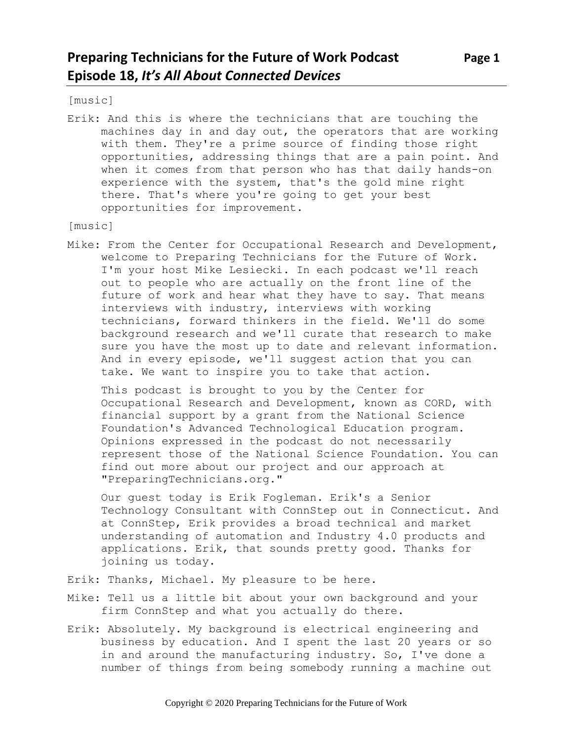[music]

Erik: And this is where the technicians that are touching the machines day in and day out, the operators that are working with them. They're a prime source of finding those right opportunities, addressing things that are a pain point. And when it comes from that person who has that daily hands-on experience with the system, that's the gold mine right there. That's where you're going to get your best opportunities for improvement.

[music]

Mike: From the Center for Occupational Research and Development, welcome to Preparing Technicians for the Future of Work. I'm your host Mike Lesiecki. In each podcast we'll reach out to people who are actually on the front line of the future of work and hear what they have to say. That means interviews with industry, interviews with working technicians, forward thinkers in the field. We'll do some background research and we'll curate that research to make sure you have the most up to date and relevant information. And in every episode, we'll suggest action that you can take. We want to inspire you to take that action.

This podcast is brought to you by the Center for Occupational Research and Development, known as CORD, with financial support by a grant from the National Science Foundation's Advanced Technological Education program. Opinions expressed in the podcast do not necessarily represent those of the National Science Foundation. You can find out more about our project and our approach at "PreparingTechnicians.org."

Our guest today is Erik Fogleman. Erik's a Senior Technology Consultant with ConnStep out in Connecticut. And at ConnStep, Erik provides a broad technical and market understanding of automation and Industry 4.0 products and applications. Erik, that sounds pretty good. Thanks for joining us today.

- Erik: Thanks, Michael. My pleasure to be here.
- Mike: Tell us a little bit about your own background and your firm ConnStep and what you actually do there.
- Erik: Absolutely. My background is electrical engineering and business by education. And I spent the last 20 years or so in and around the manufacturing industry. So, I've done a number of things from being somebody running a machine out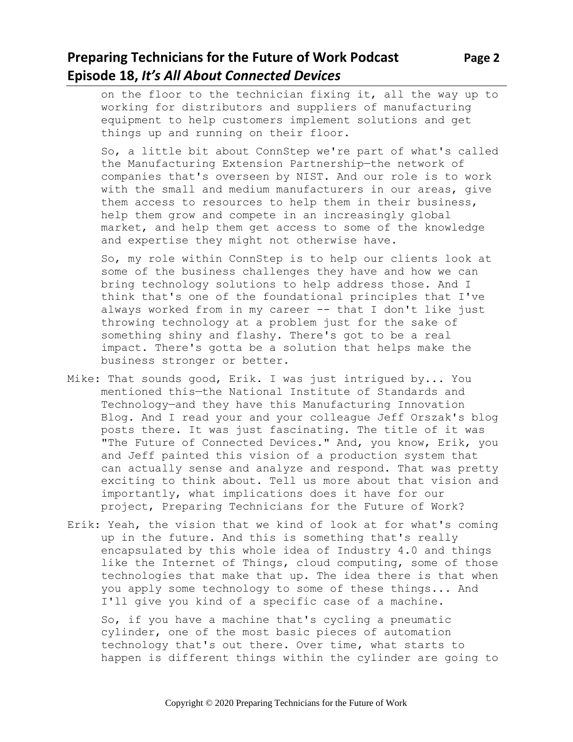# **Preparing Technicians for the Future of Work Podcast Page 2 Episode 18,** *It's All About Connected Devices*

on the floor to the technician fixing it, all the way up to working for distributors and suppliers of manufacturing equipment to help customers implement solutions and get things up and running on their floor.

So, a little bit about ConnStep we're part of what's called the Manufacturing Extension Partnership—the network of companies that's overseen by NIST. And our role is to work with the small and medium manufacturers in our areas, give them access to resources to help them in their business, help them grow and compete in an increasingly global market, and help them get access to some of the knowledge and expertise they might not otherwise have.

So, my role within ConnStep is to help our clients look at some of the business challenges they have and how we can bring technology solutions to help address those. And I think that's one of the foundational principles that I've always worked from in my career -- that I don't like just throwing technology at a problem just for the sake of something shiny and flashy. There's got to be a real impact. There's gotta be a solution that helps make the business stronger or better.

- Mike: That sounds good, Erik. I was just intrigued by... You mentioned this—the National Institute of Standards and Technology—and they have this Manufacturing Innovation Blog. And I read your and your colleague Jeff Orszak's blog posts there. It was just fascinating. The title of it was "The Future of Connected Devices." And, you know, Erik, you and Jeff painted this vision of a production system that can actually sense and analyze and respond. That was pretty exciting to think about. Tell us more about that vision and importantly, what implications does it have for our project, Preparing Technicians for the Future of Work?
- Erik: Yeah, the vision that we kind of look at for what's coming up in the future. And this is something that's really encapsulated by this whole idea of Industry 4.0 and things like the Internet of Things, cloud computing, some of those technologies that make that up. The idea there is that when you apply some technology to some of these things... And I'll give you kind of a specific case of a machine.

So, if you have a machine that's cycling a pneumatic cylinder, one of the most basic pieces of automation technology that's out there. Over time, what starts to happen is different things within the cylinder are going to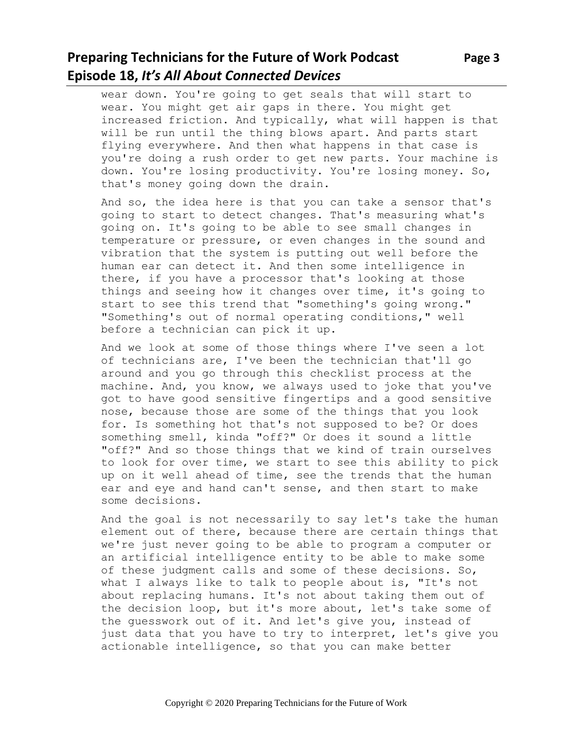# **Preparing Technicians for the Future of Work Podcast** Page 3 **Episode 18,** *It's All About Connected Devices*

wear down. You're going to get seals that will start to wear. You might get air gaps in there. You might get increased friction. And typically, what will happen is that will be run until the thing blows apart. And parts start flying everywhere. And then what happens in that case is you're doing a rush order to get new parts. Your machine is down. You're losing productivity. You're losing money. So, that's money going down the drain.

And so, the idea here is that you can take a sensor that's going to start to detect changes. That's measuring what's going on. It's going to be able to see small changes in temperature or pressure, or even changes in the sound and vibration that the system is putting out well before the human ear can detect it. And then some intelligence in there, if you have a processor that's looking at those things and seeing how it changes over time, it's going to start to see this trend that "something's going wrong." "Something's out of normal operating conditions," well before a technician can pick it up.

And we look at some of those things where I've seen a lot of technicians are, I've been the technician that'll go around and you go through this checklist process at the machine. And, you know, we always used to joke that you've got to have good sensitive fingertips and a good sensitive nose, because those are some of the things that you look for. Is something hot that's not supposed to be? Or does something smell, kinda "off?" Or does it sound a little "off?" And so those things that we kind of train ourselves to look for over time, we start to see this ability to pick up on it well ahead of time, see the trends that the human ear and eye and hand can't sense, and then start to make some decisions.

And the goal is not necessarily to say let's take the human element out of there, because there are certain things that we're just never going to be able to program a computer or an artificial intelligence entity to be able to make some of these judgment calls and some of these decisions. So, what I always like to talk to people about is, "It's not about replacing humans. It's not about taking them out of the decision loop, but it's more about, let's take some of the guesswork out of it. And let's give you, instead of just data that you have to try to interpret, let's give you actionable intelligence, so that you can make better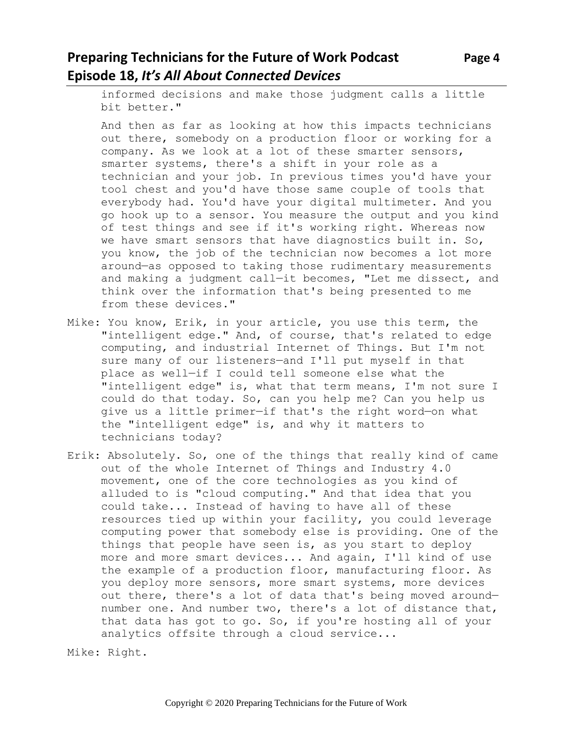# **Preparing Technicians for the Future of Work Podcast Page 4 Episode 18,** *It's All About Connected Devices*

informed decisions and make those judgment calls a little bit better."

And then as far as looking at how this impacts technicians out there, somebody on a production floor or working for a company. As we look at a lot of these smarter sensors, smarter systems, there's a shift in your role as a technician and your job. In previous times you'd have your tool chest and you'd have those same couple of tools that everybody had. You'd have your digital multimeter. And you go hook up to a sensor. You measure the output and you kind of test things and see if it's working right. Whereas now we have smart sensors that have diagnostics built in. So, you know, the job of the technician now becomes a lot more around—as opposed to taking those rudimentary measurements and making a judgment call—it becomes, "Let me dissect, and think over the information that's being presented to me from these devices."

- Mike: You know, Erik, in your article, you use this term, the "intelligent edge." And, of course, that's related to edge computing, and industrial Internet of Things. But I'm not sure many of our listeners—and I'll put myself in that place as well—if I could tell someone else what the "intelligent edge" is, what that term means, I'm not sure I could do that today. So, can you help me? Can you help us give us a little primer—if that's the right word—on what the "intelligent edge" is, and why it matters to technicians today?
- Erik: Absolutely. So, one of the things that really kind of came out of the whole Internet of Things and Industry 4.0 movement, one of the core technologies as you kind of alluded to is "cloud computing." And that idea that you could take... Instead of having to have all of these resources tied up within your facility, you could leverage computing power that somebody else is providing. One of the things that people have seen is, as you start to deploy more and more smart devices... And again, I'll kind of use the example of a production floor, manufacturing floor. As you deploy more sensors, more smart systems, more devices out there, there's a lot of data that's being moved around number one. And number two, there's a lot of distance that, that data has got to go. So, if you're hosting all of your analytics offsite through a cloud service...

Mike: Right.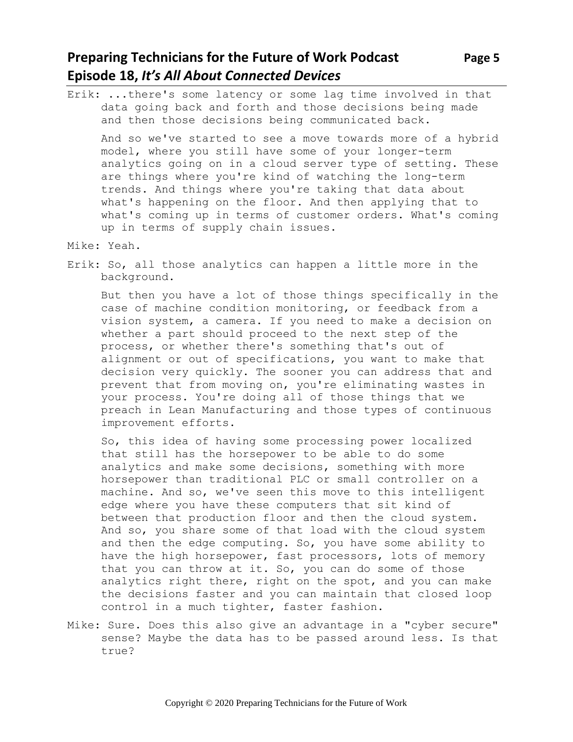### **Preparing Technicians for the Future of Work Podcast** Page 5 **Episode 18,** *It's All About Connected Devices*

Erik: ...there's some latency or some lag time involved in that data going back and forth and those decisions being made and then those decisions being communicated back.

And so we've started to see a move towards more of a hybrid model, where you still have some of your longer-term analytics going on in a cloud server type of setting. These are things where you're kind of watching the long-term trends. And things where you're taking that data about what's happening on the floor. And then applying that to what's coming up in terms of customer orders. What's coming up in terms of supply chain issues.

Mike: Yeah.

Erik: So, all those analytics can happen a little more in the background.

But then you have a lot of those things specifically in the case of machine condition monitoring, or feedback from a vision system, a camera. If you need to make a decision on whether a part should proceed to the next step of the process, or whether there's something that's out of alignment or out of specifications, you want to make that decision very quickly. The sooner you can address that and prevent that from moving on, you're eliminating wastes in your process. You're doing all of those things that we preach in Lean Manufacturing and those types of continuous improvement efforts.

So, this idea of having some processing power localized that still has the horsepower to be able to do some analytics and make some decisions, something with more horsepower than traditional PLC or small controller on a machine. And so, we've seen this move to this intelligent edge where you have these computers that sit kind of between that production floor and then the cloud system. And so, you share some of that load with the cloud system and then the edge computing. So, you have some ability to have the high horsepower, fast processors, lots of memory that you can throw at it. So, you can do some of those analytics right there, right on the spot, and you can make the decisions faster and you can maintain that closed loop control in a much tighter, faster fashion.

Mike: Sure. Does this also give an advantage in a "cyber secure" sense? Maybe the data has to be passed around less. Is that true?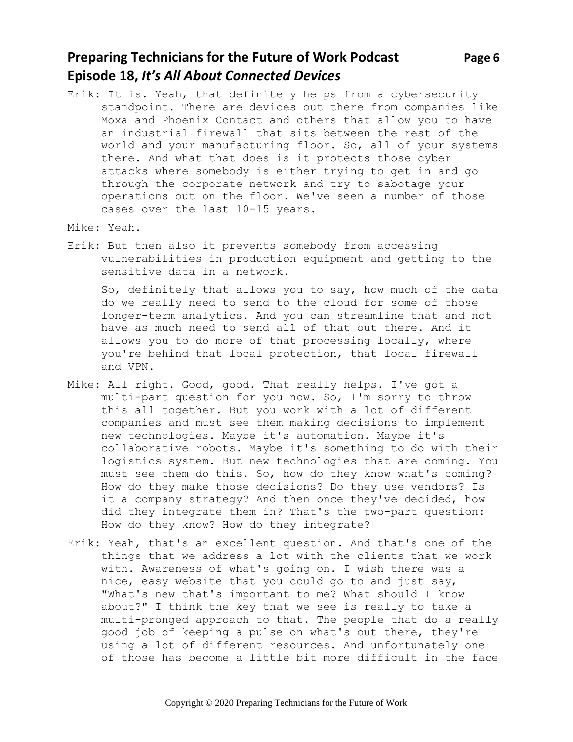# **Preparing Technicians for the Future of Work Podcast** Page 6 **Episode 18,** *It's All About Connected Devices*

- Erik: It is. Yeah, that definitely helps from a cybersecurity standpoint. There are devices out there from companies like Moxa and Phoenix Contact and others that allow you to have an industrial firewall that sits between the rest of the world and your manufacturing floor. So, all of your systems there. And what that does is it protects those cyber attacks where somebody is either trying to get in and go through the corporate network and try to sabotage your operations out on the floor. We've seen a number of those cases over the last 10-15 years.
- Mike: Yeah.
- Erik: But then also it prevents somebody from accessing vulnerabilities in production equipment and getting to the sensitive data in a network.

So, definitely that allows you to say, how much of the data do we really need to send to the cloud for some of those longer-term analytics. And you can streamline that and not have as much need to send all of that out there. And it allows you to do more of that processing locally, where you're behind that local protection, that local firewall and VPN.

- Mike: All right. Good, good. That really helps. I've got a multi-part question for you now. So, I'm sorry to throw this all together. But you work with a lot of different companies and must see them making decisions to implement new technologies. Maybe it's automation. Maybe it's collaborative robots. Maybe it's something to do with their logistics system. But new technologies that are coming. You must see them do this. So, how do they know what's coming? How do they make those decisions? Do they use vendors? Is it a company strategy? And then once they've decided, how did they integrate them in? That's the two-part question: How do they know? How do they integrate?
- Erik: Yeah, that's an excellent question. And that's one of the things that we address a lot with the clients that we work with. Awareness of what's going on. I wish there was a nice, easy website that you could go to and just say, "What's new that's important to me? What should I know about?" I think the key that we see is really to take a multi-pronged approach to that. The people that do a really good job of keeping a pulse on what's out there, they're using a lot of different resources. And unfortunately one of those has become a little bit more difficult in the face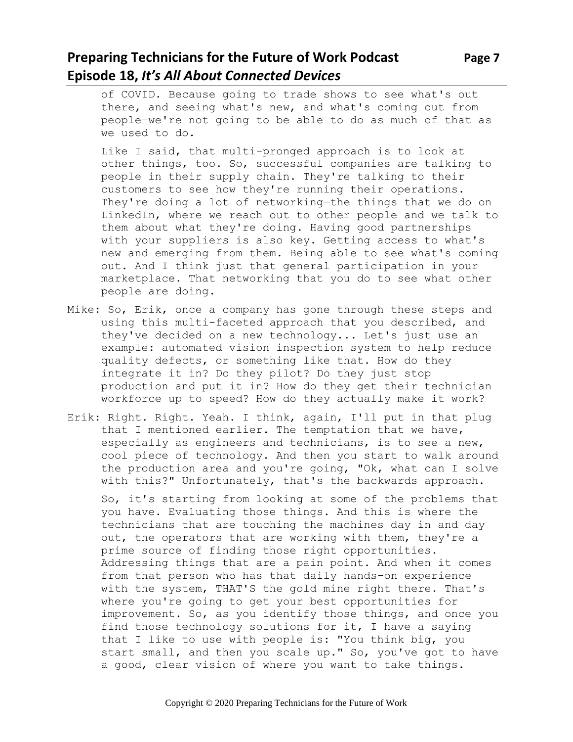# **Preparing Technicians for the Future of Work Podcast Page 7 Episode 18,** *It's All About Connected Devices*

of COVID. Because going to trade shows to see what's out there, and seeing what's new, and what's coming out from people—we're not going to be able to do as much of that as we used to do.

Like I said, that multi-pronged approach is to look at other things, too. So, successful companies are talking to people in their supply chain. They're talking to their customers to see how they're running their operations. They're doing a lot of networking—the things that we do on LinkedIn, where we reach out to other people and we talk to them about what they're doing. Having good partnerships with your suppliers is also key. Getting access to what's new and emerging from them. Being able to see what's coming out. And I think just that general participation in your marketplace. That networking that you do to see what other people are doing.

- Mike: So, Erik, once a company has gone through these steps and using this multi-faceted approach that you described, and they've decided on a new technology... Let's just use an example: automated vision inspection system to help reduce quality defects, or something like that. How do they integrate it in? Do they pilot? Do they just stop production and put it in? How do they get their technician workforce up to speed? How do they actually make it work?
- Erik: Right. Right. Yeah. I think, again, I'll put in that plug that I mentioned earlier. The temptation that we have, especially as engineers and technicians, is to see a new, cool piece of technology. And then you start to walk around the production area and you're going, "Ok, what can I solve with this?" Unfortunately, that's the backwards approach.

So, it's starting from looking at some of the problems that you have. Evaluating those things. And this is where the technicians that are touching the machines day in and day out, the operators that are working with them, they're a prime source of finding those right opportunities. Addressing things that are a pain point. And when it comes from that person who has that daily hands-on experience with the system, THAT'S the gold mine right there. That's where you're going to get your best opportunities for improvement. So, as you identify those things, and once you find those technology solutions for it, I have a saying that I like to use with people is: "You think big, you start small, and then you scale up." So, you've got to have a good, clear vision of where you want to take things.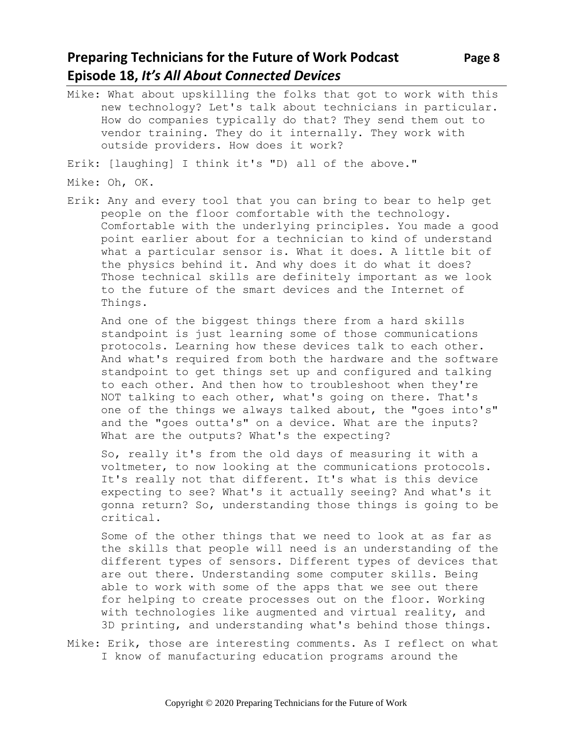# **Preparing Technicians for the Future of Work Podcast** Page 8 **Episode 18,** *It's All About Connected Devices*

Mike: What about upskilling the folks that got to work with this new technology? Let's talk about technicians in particular. How do companies typically do that? They send them out to vendor training. They do it internally. They work with outside providers. How does it work?

Erik: [laughing] I think it's "D) all of the above."

- Mike: Oh, OK.
- Erik: Any and every tool that you can bring to bear to help get people on the floor comfortable with the technology. Comfortable with the underlying principles. You made a good point earlier about for a technician to kind of understand what a particular sensor is. What it does. A little bit of the physics behind it. And why does it do what it does? Those technical skills are definitely important as we look to the future of the smart devices and the Internet of Things.

And one of the biggest things there from a hard skills standpoint is just learning some of those communications protocols. Learning how these devices talk to each other. And what's required from both the hardware and the software standpoint to get things set up and configured and talking to each other. And then how to troubleshoot when they're NOT talking to each other, what's going on there. That's one of the things we always talked about, the "goes into's" and the "goes outta's" on a device. What are the inputs? What are the outputs? What's the expecting?

So, really it's from the old days of measuring it with a voltmeter, to now looking at the communications protocols. It's really not that different. It's what is this device expecting to see? What's it actually seeing? And what's it gonna return? So, understanding those things is going to be critical.

Some of the other things that we need to look at as far as the skills that people will need is an understanding of the different types of sensors. Different types of devices that are out there. Understanding some computer skills. Being able to work with some of the apps that we see out there for helping to create processes out on the floor. Working with technologies like augmented and virtual reality, and 3D printing, and understanding what's behind those things.

Mike: Erik, those are interesting comments. As I reflect on what I know of manufacturing education programs around the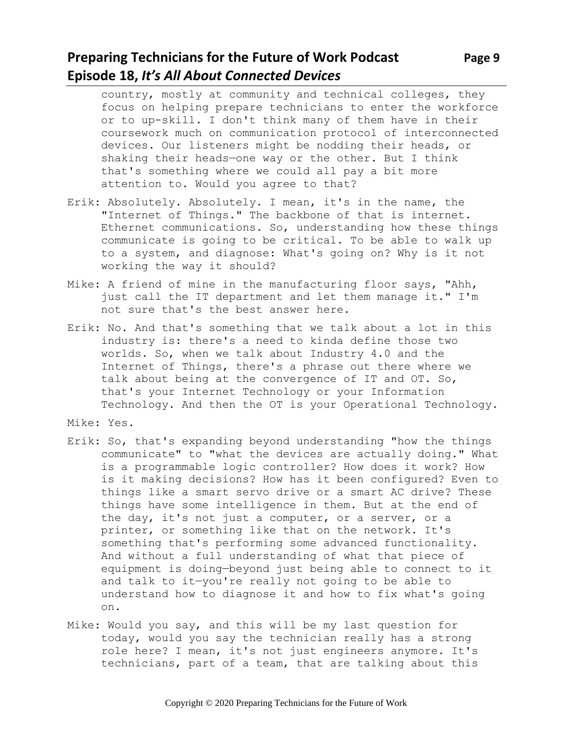# **Preparing Technicians for the Future of Work Podcast** Page 9 **Episode 18,** *It's All About Connected Devices*

- country, mostly at community and technical colleges, they focus on helping prepare technicians to enter the workforce or to up-skill. I don't think many of them have in their coursework much on communication protocol of interconnected devices. Our listeners might be nodding their heads, or shaking their heads—one way or the other. But I think that's something where we could all pay a bit more attention to. Would you agree to that?
- Erik: Absolutely. Absolutely. I mean, it's in the name, the "Internet of Things." The backbone of that is internet. Ethernet communications. So, understanding how these things communicate is going to be critical. To be able to walk up to a system, and diagnose: What's going on? Why is it not working the way it should?
- Mike: A friend of mine in the manufacturing floor says, "Ahh, just call the IT department and let them manage it." I'm not sure that's the best answer here.
- Erik: No. And that's something that we talk about a lot in this industry is: there's a need to kinda define those two worlds. So, when we talk about Industry 4.0 and the Internet of Things, there's a phrase out there where we talk about being at the convergence of IT and OT. So, that's your Internet Technology or your Information Technology. And then the OT is your Operational Technology.
- Mike: Yes.
- Erik: So, that's expanding beyond understanding "how the things communicate" to "what the devices are actually doing." What is a programmable logic controller? How does it work? How is it making decisions? How has it been configured? Even to things like a smart servo drive or a smart AC drive? These things have some intelligence in them. But at the end of the day, it's not just a computer, or a server, or a printer, or something like that on the network. It's something that's performing some advanced functionality. And without a full understanding of what that piece of equipment is doing—beyond just being able to connect to it and talk to it—you're really not going to be able to understand how to diagnose it and how to fix what's going on.
- Mike: Would you say, and this will be my last question for today, would you say the technician really has a strong role here? I mean, it's not just engineers anymore. It's technicians, part of a team, that are talking about this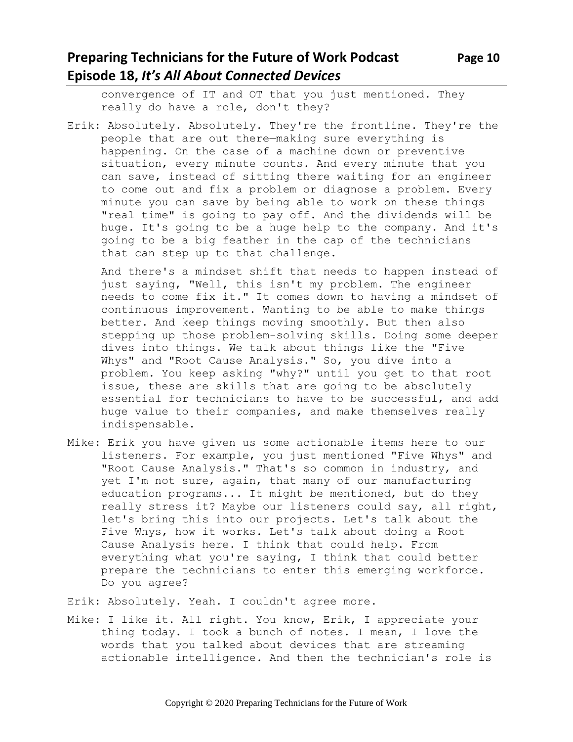convergence of IT and OT that you just mentioned. They really do have a role, don't they?

Erik: Absolutely. Absolutely. They're the frontline. They're the people that are out there—making sure everything is happening. On the case of a machine down or preventive situation, every minute counts. And every minute that you can save, instead of sitting there waiting for an engineer to come out and fix a problem or diagnose a problem. Every minute you can save by being able to work on these things "real time" is going to pay off. And the dividends will be huge. It's going to be a huge help to the company. And it's going to be a big feather in the cap of the technicians that can step up to that challenge.

And there's a mindset shift that needs to happen instead of just saying, "Well, this isn't my problem. The engineer needs to come fix it." It comes down to having a mindset of continuous improvement. Wanting to be able to make things better. And keep things moving smoothly. But then also stepping up those problem-solving skills. Doing some deeper dives into things. We talk about things like the "Five Whys" and "Root Cause Analysis." So, you dive into a problem. You keep asking "why?" until you get to that root issue, these are skills that are going to be absolutely essential for technicians to have to be successful, and add huge value to their companies, and make themselves really indispensable.

Mike: Erik you have given us some actionable items here to our listeners. For example, you just mentioned "Five Whys" and "Root Cause Analysis." That's so common in industry, and yet I'm not sure, again, that many of our manufacturing education programs... It might be mentioned, but do they really stress it? Maybe our listeners could say, all right, let's bring this into our projects. Let's talk about the Five Whys, how it works. Let's talk about doing a Root Cause Analysis here. I think that could help. From everything what you're saying, I think that could better prepare the technicians to enter this emerging workforce. Do you agree?

Erik: Absolutely. Yeah. I couldn't agree more.

Mike: I like it. All right. You know, Erik, I appreciate your thing today. I took a bunch of notes. I mean, I love the words that you talked about devices that are streaming actionable intelligence. And then the technician's role is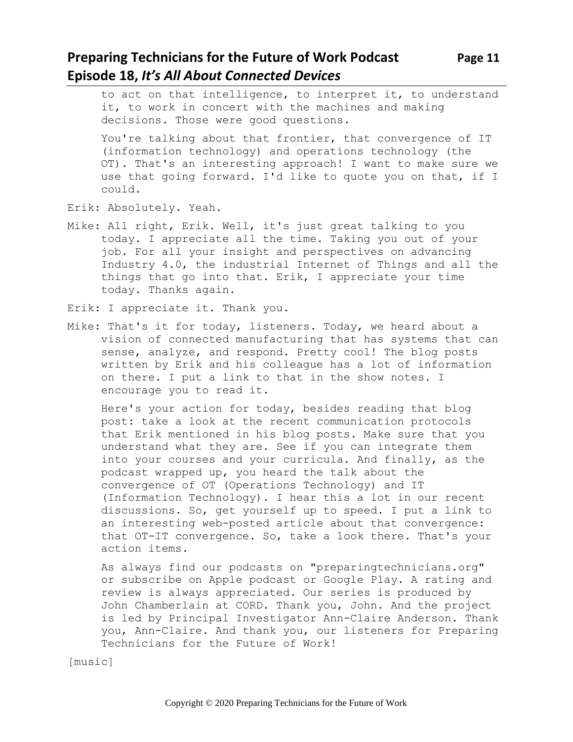# **Preparing Technicians for the Future of Work Podcast Page 11 Episode 18,** *It's All About Connected Devices*

to act on that intelligence, to interpret it, to understand it, to work in concert with the machines and making decisions. Those were good questions.

You're talking about that frontier, that convergence of IT (information technology) and operations technology (the OT). That's an interesting approach! I want to make sure we use that going forward. I'd like to quote you on that, if I could.

- Erik: Absolutely. Yeah.
- Mike: All right, Erik. Well, it's just great talking to you today. I appreciate all the time. Taking you out of your job. For all your insight and perspectives on advancing Industry 4.0, the industrial Internet of Things and all the things that go into that. Erik, I appreciate your time today. Thanks again.
- Erik: I appreciate it. Thank you.
- Mike: That's it for today, listeners. Today, we heard about a vision of connected manufacturing that has systems that can sense, analyze, and respond. Pretty cool! The blog posts written by Erik and his colleague has a lot of information on there. I put a link to that in the show notes. I encourage you to read it.

Here's your action for today, besides reading that blog post: take a look at the recent communication protocols that Erik mentioned in his blog posts. Make sure that you understand what they are. See if you can integrate them into your courses and your curricula. And finally, as the podcast wrapped up, you heard the talk about the convergence of OT (Operations Technology) and IT (Information Technology). I hear this a lot in our recent discussions. So, get yourself up to speed. I put a link to an interesting web-posted article about that convergence: that OT-IT convergence. So, take a look there. That's your action items.

As always find our podcasts on "preparingtechnicians.org" or subscribe on Apple podcast or Google Play. A rating and review is always appreciated. Our series is produced by John Chamberlain at CORD. Thank you, John. And the project is led by Principal Investigator Ann-Claire Anderson. Thank you, Ann-Claire. And thank you, our listeners for Preparing Technicians for the Future of Work!

[music]